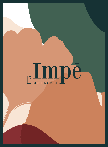